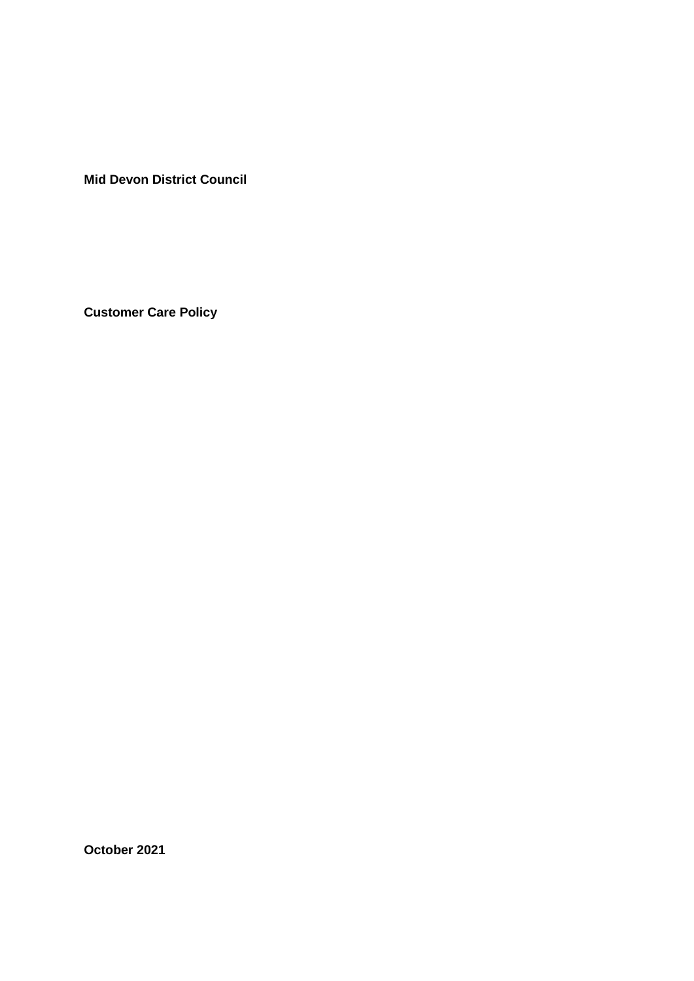**Mid Devon District Council**

**Customer Care Policy**

**October 2021**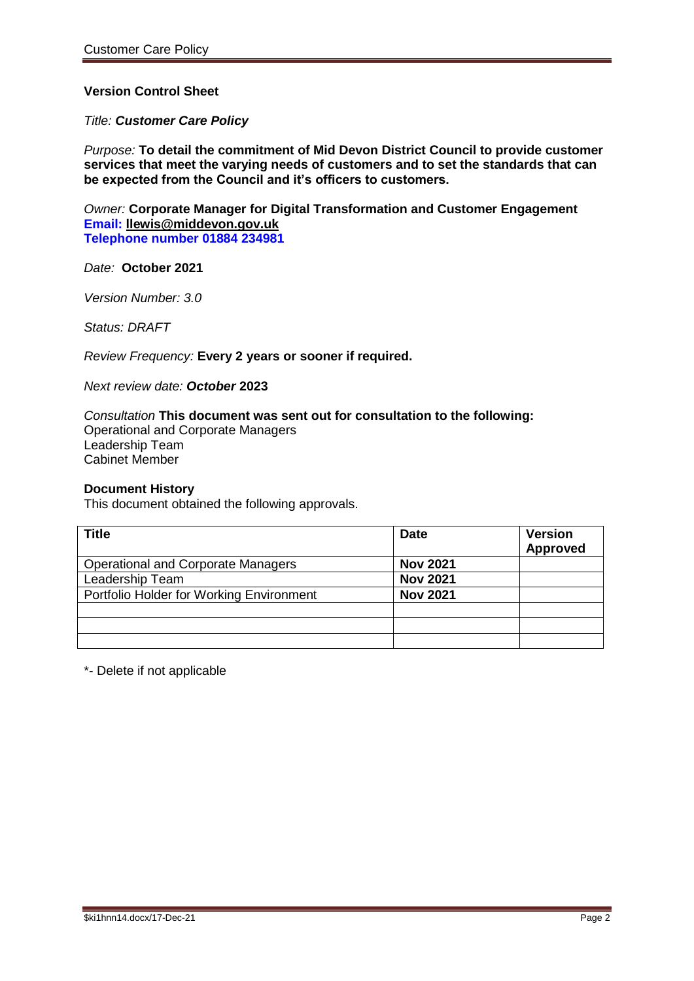# **Version Control Sheet**

#### *Title: Customer Care Policy*

*Purpose:* **To detail the commitment of Mid Devon District Council to provide customer services that meet the varying needs of customers and to set the standards that can be expected from the Council and it's officers to customers.**

*Owner:* **Corporate Manager for Digital Transformation and Customer Engagement Email: [llewis@middevon.gov.uk](mailto:llewis@middevon.gov.uk) Telephone number 01884 234981**

*Date:* **October 2021**

*Version Number: 3.0*

*Status: DRAFT*

*Review Frequency:* **Every 2 years or sooner if required.**

*Next review date: October* **2023**

*Consultation* **This document was sent out for consultation to the following:** Operational and Corporate Managers Leadership Team Cabinet Member

#### **Document History**

This document obtained the following approvals.

| <b>Title</b>                              | <b>Date</b>     | <b>Version</b><br><b>Approved</b> |
|-------------------------------------------|-----------------|-----------------------------------|
| <b>Operational and Corporate Managers</b> | <b>Nov 2021</b> |                                   |
| Leadership Team                           | <b>Nov 2021</b> |                                   |
| Portfolio Holder for Working Environment  | <b>Nov 2021</b> |                                   |
|                                           |                 |                                   |
|                                           |                 |                                   |
|                                           |                 |                                   |

\*- Delete if not applicable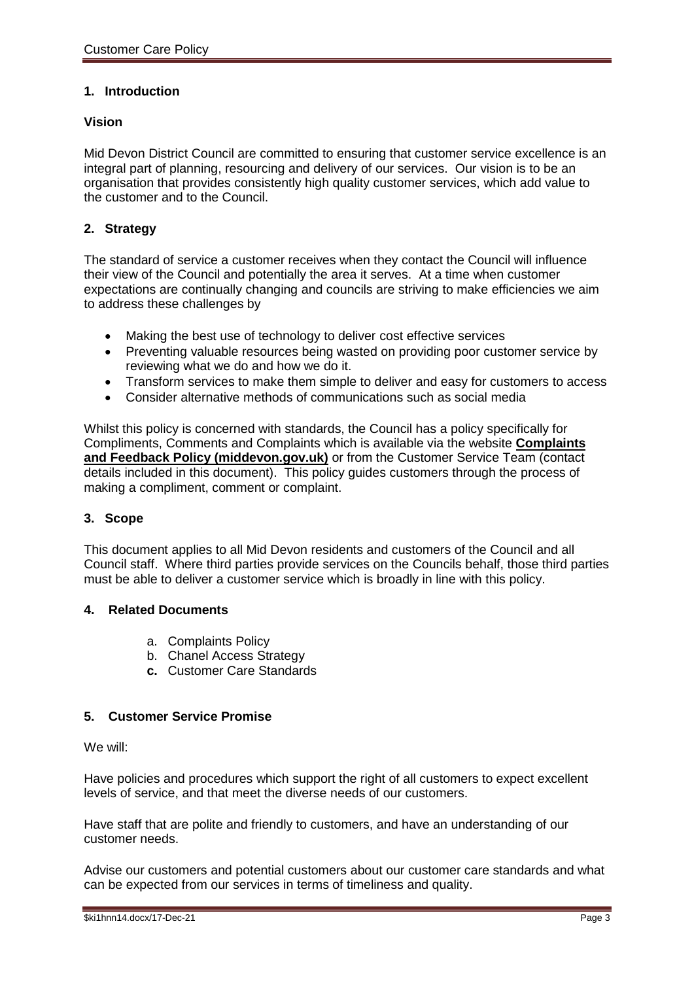## **1. Introduction**

### **Vision**

Mid Devon District Council are committed to ensuring that customer service excellence is an integral part of planning, resourcing and delivery of our services. Our vision is to be an organisation that provides consistently high quality customer services, which add value to the customer and to the Council.

## **2. Strategy**

The standard of service a customer receives when they contact the Council will influence their view of the Council and potentially the area it serves. At a time when customer expectations are continually changing and councils are striving to make efficiencies we aim to address these challenges by

- Making the best use of technology to deliver cost effective services
- Preventing valuable resources being wasted on providing poor customer service by reviewing what we do and how we do it.
- Transform services to make them simple to deliver and easy for customers to access
- Consider alternative methods of communications such as social media

Whilst this policy is concerned with standards, the Council has a policy specifically for Compliments, Comments and Complaints which is available via the website **[Complaints](https://www.middevon.gov.uk/media/346614/complaints-and-feedback-policy-v2.pdf)  [and Feedback Policy \(middevon.gov.uk\)](https://www.middevon.gov.uk/media/346614/complaints-and-feedback-policy-v2.pdf)** or from the Customer Service Team (contact details included in this document). This policy guides customers through the process of making a compliment, comment or complaint.

### **3. Scope**

This document applies to all Mid Devon residents and customers of the Council and all Council staff. Where third parties provide services on the Councils behalf, those third parties must be able to deliver a customer service which is broadly in line with this policy.

### **4. Related Documents**

- a. Complaints Policy
- b. Chanel Access Strategy
- **c.** Customer Care Standards

### **5. Customer Service Promise**

We will:

Have policies and procedures which support the right of all customers to expect excellent levels of service, and that meet the diverse needs of our customers.

Have staff that are polite and friendly to customers, and have an understanding of our customer needs.

Advise our customers and potential customers about our customer care standards and what can be expected from our services in terms of timeliness and quality.